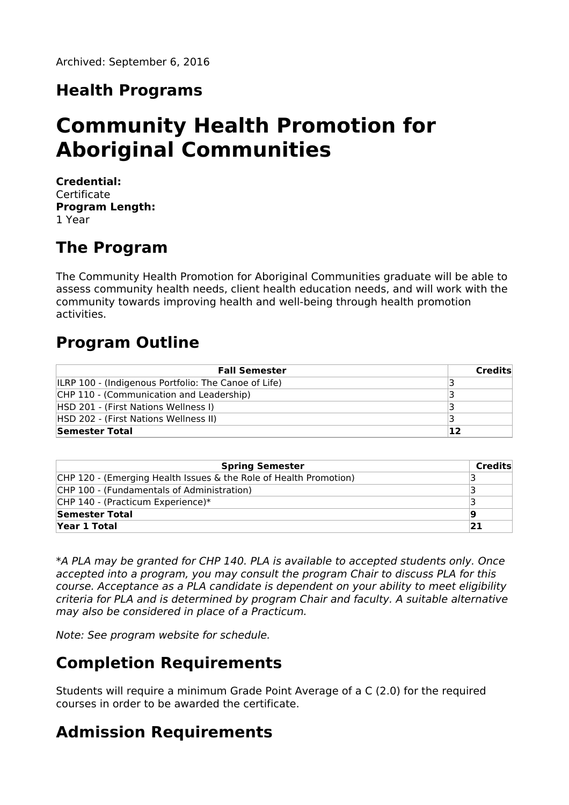# **Health Programs**

# **Community Health Promotion for Aboriginal Communities**

**Credential:** Certificate **Program Length:** 1 Year

# **The Program**

The Community Health Promotion for Aboriginal Communities graduate will be able to assess community health needs, client health education needs, and will work with the community towards improving health and well-being through health promotion activities.

### **Program Outline**

| <b>Fall Semester</b>                                        | Credits |
|-------------------------------------------------------------|---------|
| <b>ILRP 100 - (Indigenous Portfolio: The Canoe of Life)</b> |         |
| CHP 110 - (Communication and Leadership)                    |         |
| HSD 201 - (First Nations Wellness I)                        |         |
| HSD 202 - (First Nations Wellness II)                       |         |
| Semester Total                                              | 12      |

| <b>Spring Semester</b>                                            | Credits |
|-------------------------------------------------------------------|---------|
| CHP 120 - (Emerging Health Issues & the Role of Health Promotion) |         |
| CHP 100 - (Fundamentals of Administration)                        |         |
| CHP 140 - (Practicum Experience)*                                 |         |
| Semester Total                                                    | 19      |
| Year 1 Total                                                      | 21      |

\*A PLA may be granted for CHP 140. PLA is available to accepted students only. Once accepted into a program, you may consult the program Chair to discuss PLA for this course. Acceptance as a PLA candidate is dependent on your ability to meet eligibility criteria for PLA and is determined by program Chair and faculty. A suitable alternative may also be considered in place of a Practicum.

Note: See program website for schedule.

### **Completion Requirements**

Students will require a minimum Grade Point Average of a C (2.0) for the required courses in order to be awarded the certificate.

# **Admission Requirements**